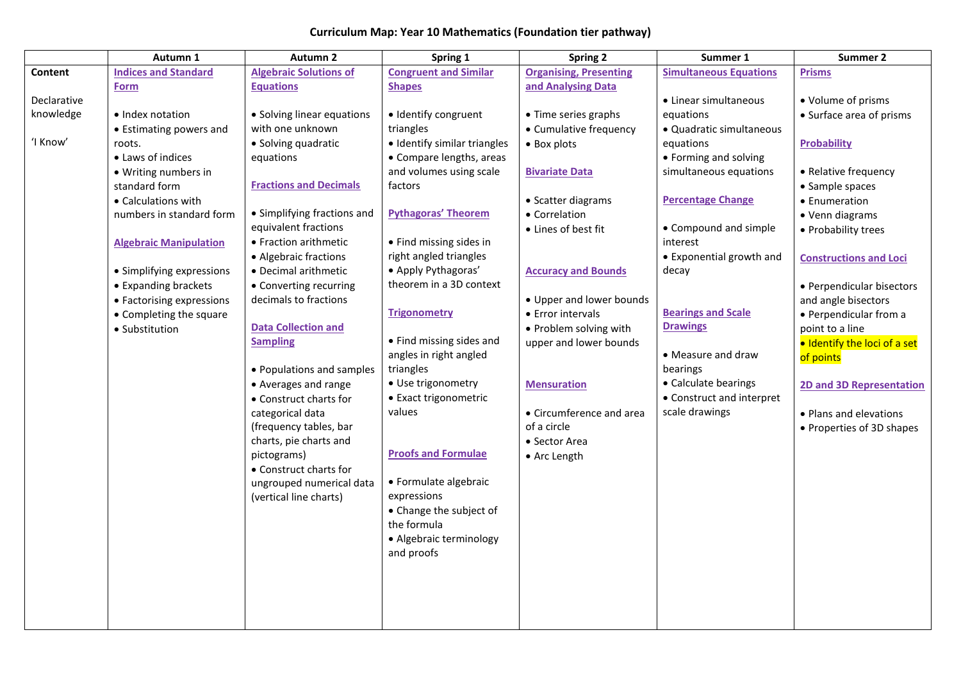## **Curriculum Map: Year 10 Mathematics (Foundation tier pathway)**

|             | Autumn 1                      | <b>Autumn 2</b>               | Spring 1                               | <b>Spring 2</b>               | Summer 1                      | Summer 2                        |
|-------------|-------------------------------|-------------------------------|----------------------------------------|-------------------------------|-------------------------------|---------------------------------|
| Content     | <b>Indices and Standard</b>   | <b>Algebraic Solutions of</b> | <b>Congruent and Similar</b>           | <b>Organising, Presenting</b> | <b>Simultaneous Equations</b> | <b>Prisms</b>                   |
|             | <b>Form</b>                   | <b>Equations</b>              | <b>Shapes</b>                          | and Analysing Data            |                               |                                 |
| Declarative |                               |                               |                                        |                               | • Linear simultaneous         | • Volume of prisms              |
| knowledge   | • Index notation              | • Solving linear equations    | · Identify congruent                   | • Time series graphs          | equations                     | • Surface area of prisms        |
|             | • Estimating powers and       | with one unknown              | triangles                              | • Cumulative frequency        | • Quadratic simultaneous      |                                 |
| 'I Know'    | roots.                        | • Solving quadratic           | · Identify similar triangles           | • Box plots                   | equations                     | Probability                     |
|             | • Laws of indices             | equations                     | • Compare lengths, areas               |                               | • Forming and solving         |                                 |
|             | • Writing numbers in          |                               | and volumes using scale                | <b>Bivariate Data</b>         | simultaneous equations        | • Relative frequency            |
|             | standard form                 | <b>Fractions and Decimals</b> | factors                                |                               |                               | • Sample spaces                 |
|             | • Calculations with           |                               |                                        | • Scatter diagrams            | <b>Percentage Change</b>      | • Enumeration                   |
|             | numbers in standard form      | • Simplifying fractions and   | <b>Pythagoras' Theorem</b>             | • Correlation                 |                               | • Venn diagrams                 |
|             |                               | equivalent fractions          |                                        | • Lines of best fit           | • Compound and simple         | • Probability trees             |
|             | <b>Algebraic Manipulation</b> | • Fraction arithmetic         | • Find missing sides in                |                               | interest                      |                                 |
|             |                               | • Algebraic fractions         | right angled triangles                 |                               | • Exponential growth and      | <b>Constructions and Loci</b>   |
|             | • Simplifying expressions     | • Decimal arithmetic          | • Apply Pythagoras'                    | <b>Accuracy and Bounds</b>    | decay                         |                                 |
|             | • Expanding brackets          | • Converting recurring        | theorem in a 3D context                |                               |                               | • Perpendicular bisectors       |
|             | • Factorising expressions     | decimals to fractions         |                                        | • Upper and lower bounds      |                               | and angle bisectors             |
|             | • Completing the square       |                               | <b>Trigonometry</b>                    | • Error intervals             | <b>Bearings and Scale</b>     | • Perpendicular from a          |
|             | • Substitution                | <b>Data Collection and</b>    |                                        | • Problem solving with        | <b>Drawings</b>               | point to a line                 |
|             |                               | <b>Sampling</b>               | • Find missing sides and               | upper and lower bounds        |                               | · Identify the loci of a set    |
|             |                               |                               | angles in right angled                 |                               | • Measure and draw            | of points                       |
|             |                               | • Populations and samples     | triangles                              |                               | bearings                      |                                 |
|             |                               | • Averages and range          | • Use trigonometry                     | <b>Mensuration</b>            | • Calculate bearings          | <b>2D and 3D Representation</b> |
|             |                               | • Construct charts for        | • Exact trigonometric                  |                               | • Construct and interpret     |                                 |
|             |                               | categorical data              | values                                 | • Circumference and area      | scale drawings                | • Plans and elevations          |
|             |                               | (frequency tables, bar        |                                        | of a circle                   |                               | • Properties of 3D shapes       |
|             |                               | charts, pie charts and        |                                        | • Sector Area                 |                               |                                 |
|             |                               | pictograms)                   | <b>Proofs and Formulae</b>             | • Arc Length                  |                               |                                 |
|             |                               | • Construct charts for        |                                        |                               |                               |                                 |
|             |                               | ungrouped numerical data      | • Formulate algebraic                  |                               |                               |                                 |
|             |                               | (vertical line charts)        | expressions                            |                               |                               |                                 |
|             |                               |                               | • Change the subject of<br>the formula |                               |                               |                                 |
|             |                               |                               |                                        |                               |                               |                                 |
|             |                               |                               | • Algebraic terminology                |                               |                               |                                 |
|             |                               |                               | and proofs                             |                               |                               |                                 |
|             |                               |                               |                                        |                               |                               |                                 |
|             |                               |                               |                                        |                               |                               |                                 |
|             |                               |                               |                                        |                               |                               |                                 |
|             |                               |                               |                                        |                               |                               |                                 |
|             |                               |                               |                                        |                               |                               |                                 |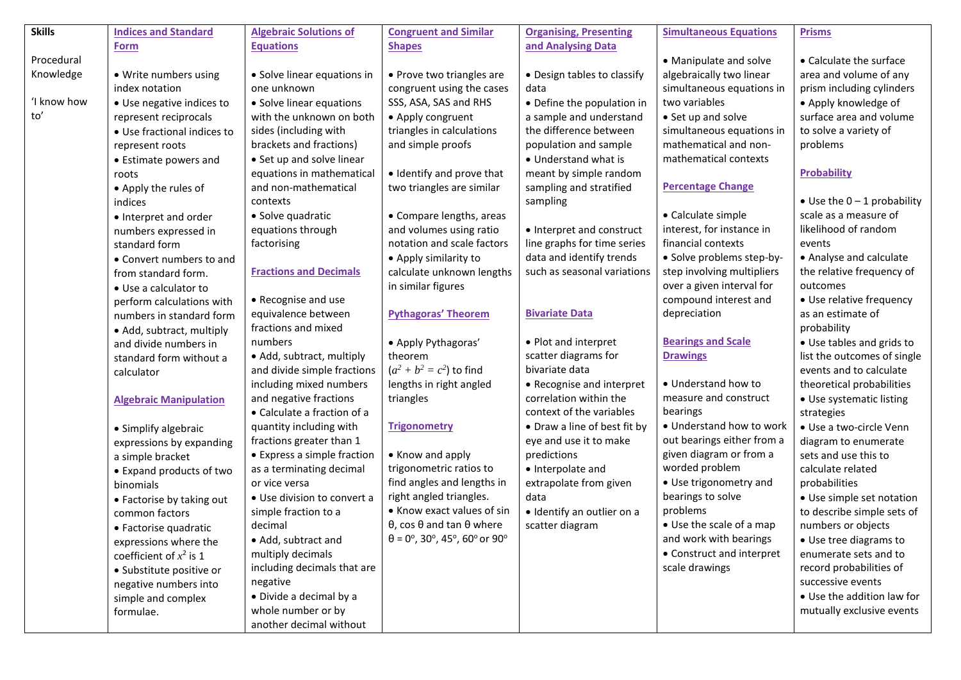| <b>Skills</b> | <b>Indices and Standard</b>   | <b>Algebraic Solutions of</b> | <b>Congruent and Similar</b>                   | <b>Organising, Presenting</b> | <b>Simultaneous Equations</b> | <b>Prisms</b>                       |
|---------------|-------------------------------|-------------------------------|------------------------------------------------|-------------------------------|-------------------------------|-------------------------------------|
|               | <b>Form</b>                   | <b>Equations</b>              | <b>Shapes</b>                                  | and Analysing Data            |                               |                                     |
| Procedural    |                               |                               |                                                |                               | • Manipulate and solve        | • Calculate the surface             |
| Knowledge     | · Write numbers using         | • Solve linear equations in   | • Prove two triangles are                      | • Design tables to classify   | algebraically two linear      | area and volume of any              |
|               | index notation                | one unknown                   | congruent using the cases                      | data                          | simultaneous equations in     | prism including cylinders           |
| 'I know how   | • Use negative indices to     | • Solve linear equations      | SSS, ASA, SAS and RHS                          | • Define the population in    | two variables                 | • Apply knowledge of                |
| to'           | represent reciprocals         | with the unknown on both      | • Apply congruent                              | a sample and understand       | • Set up and solve            | surface area and volume             |
|               | • Use fractional indices to   | sides (including with         | triangles in calculations                      | the difference between        | simultaneous equations in     | to solve a variety of               |
|               | represent roots               | brackets and fractions)       | and simple proofs                              | population and sample         | mathematical and non-         | problems                            |
|               | • Estimate powers and         | • Set up and solve linear     |                                                | • Understand what is          | mathematical contexts         |                                     |
|               | roots                         | equations in mathematical     | · Identify and prove that                      | meant by simple random        |                               | <b>Probability</b>                  |
|               | • Apply the rules of          | and non-mathematical          | two triangles are similar                      | sampling and stratified       | <b>Percentage Change</b>      |                                     |
|               | indices                       | contexts                      |                                                | sampling                      |                               | $\bullet$ Use the 0 - 1 probability |
|               | • Interpret and order         | • Solve quadratic             | • Compare lengths, areas                       |                               | • Calculate simple            | scale as a measure of               |
|               | numbers expressed in          | equations through             | and volumes using ratio                        | • Interpret and construct     | interest, for instance in     | likelihood of random                |
|               | standard form                 | factorising                   | notation and scale factors                     | line graphs for time series   | financial contexts            | events                              |
|               | • Convert numbers to and      |                               | • Apply similarity to                          | data and identify trends      | · Solve problems step-by-     | • Analyse and calculate             |
|               | from standard form.           | <b>Fractions and Decimals</b> | calculate unknown lengths                      | such as seasonal variations   | step involving multipliers    | the relative frequency of           |
|               | • Use a calculator to         |                               | in similar figures                             |                               | over a given interval for     | outcomes                            |
|               | perform calculations with     | • Recognise and use           |                                                |                               | compound interest and         | • Use relative frequency            |
|               | numbers in standard form      | equivalence between           | <b>Pythagoras' Theorem</b>                     | <b>Bivariate Data</b>         | depreciation                  | as an estimate of                   |
|               | • Add, subtract, multiply     | fractions and mixed           |                                                |                               |                               | probability                         |
|               | and divide numbers in         | numbers                       | • Apply Pythagoras'                            | • Plot and interpret          | <b>Bearings and Scale</b>     | • Use tables and grids to           |
|               | standard form without a       | • Add, subtract, multiply     | theorem                                        | scatter diagrams for          | <b>Drawings</b>               | list the outcomes of single         |
|               | calculator                    | and divide simple fractions   | $(a^{2} + b^{2} = c^{2})$ to find              | bivariate data                |                               | events and to calculate             |
|               |                               | including mixed numbers       | lengths in right angled                        | • Recognise and interpret     | • Understand how to           | theoretical probabilities           |
|               | <b>Algebraic Manipulation</b> | and negative fractions        | triangles                                      | correlation within the        | measure and construct         | • Use systematic listing            |
|               |                               | • Calculate a fraction of a   |                                                | context of the variables      | bearings                      | strategies                          |
|               | • Simplify algebraic          | quantity including with       | <b>Trigonometry</b>                            | • Draw a line of best fit by  | • Understand how to work      | · Use a two-circle Venn             |
|               | expressions by expanding      | fractions greater than 1      |                                                | eye and use it to make        | out bearings either from a    | diagram to enumerate                |
|               | a simple bracket              | • Express a simple fraction   | • Know and apply                               | predictions                   | given diagram or from a       | sets and use this to                |
|               | • Expand products of two      | as a terminating decimal      | trigonometric ratios to                        | • Interpolate and             | worded problem                | calculate related                   |
|               | binomials                     | or vice versa                 | find angles and lengths in                     | extrapolate from given        | • Use trigonometry and        | probabilities                       |
|               | • Factorise by taking out     | · Use division to convert a   | right angled triangles.                        | data                          | bearings to solve             | • Use simple set notation           |
|               | common factors                | simple fraction to a          | • Know exact values of sin                     | · Identify an outlier on a    | problems                      | to describe simple sets of          |
|               | • Factorise quadratic         | decimal                       | $\theta$ , cos $\theta$ and tan $\theta$ where | scatter diagram               | • Use the scale of a map      | numbers or objects                  |
|               | expressions where the         | • Add, subtract and           | $\theta$ = 0°, 30°, 45°, 60° or 90°            |                               | and work with bearings        | • Use tree diagrams to              |
|               | coefficient of $x^2$ is 1     | multiply decimals             |                                                |                               | • Construct and interpret     | enumerate sets and to               |
|               | • Substitute positive or      | including decimals that are   |                                                |                               | scale drawings                | record probabilities of             |
|               | negative numbers into         | negative                      |                                                |                               |                               | successive events                   |
|               | simple and complex            | · Divide a decimal by a       |                                                |                               |                               | • Use the addition law for          |
|               | formulae.                     | whole number or by            |                                                |                               |                               | mutually exclusive events           |
|               |                               | another decimal without       |                                                |                               |                               |                                     |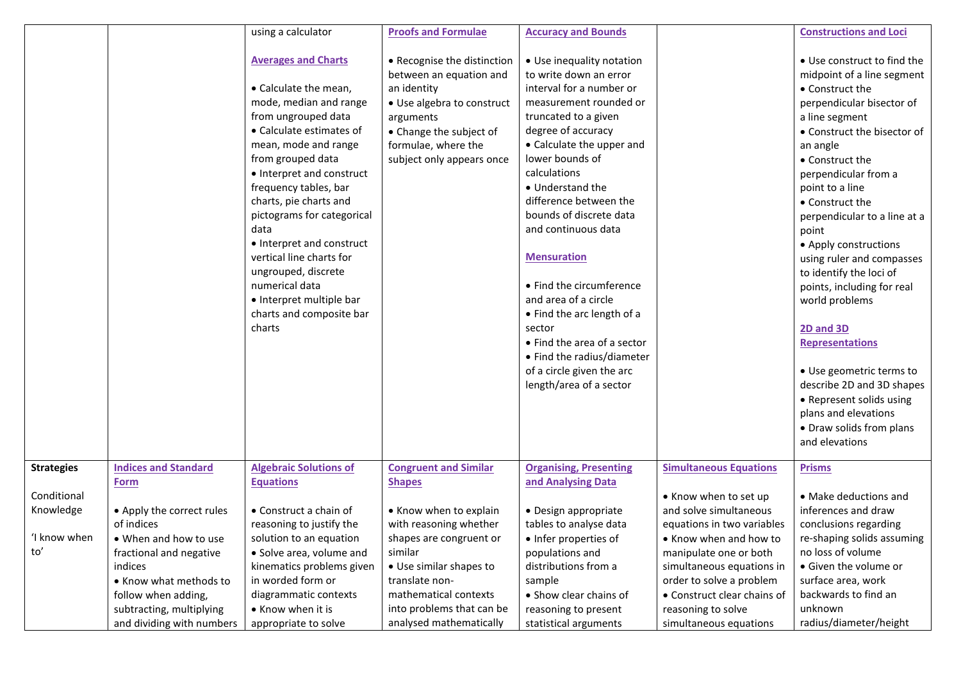|                   |                                            | using a calculator                                                                                                                                                                                                                                                                                                                                                                                                                                                      | <b>Proofs and Formulae</b>                                                                                                                                                                      | <b>Accuracy and Bounds</b>                                                                                                                                                                                                                                                                                                                                                                                                                                                                                                                                     |                               | <b>Constructions and Loci</b>                                                                                                                                                                                                                                                                                                                                                                                                                                                                                                                                                                                                       |
|-------------------|--------------------------------------------|-------------------------------------------------------------------------------------------------------------------------------------------------------------------------------------------------------------------------------------------------------------------------------------------------------------------------------------------------------------------------------------------------------------------------------------------------------------------------|-------------------------------------------------------------------------------------------------------------------------------------------------------------------------------------------------|----------------------------------------------------------------------------------------------------------------------------------------------------------------------------------------------------------------------------------------------------------------------------------------------------------------------------------------------------------------------------------------------------------------------------------------------------------------------------------------------------------------------------------------------------------------|-------------------------------|-------------------------------------------------------------------------------------------------------------------------------------------------------------------------------------------------------------------------------------------------------------------------------------------------------------------------------------------------------------------------------------------------------------------------------------------------------------------------------------------------------------------------------------------------------------------------------------------------------------------------------------|
|                   |                                            | <b>Averages and Charts</b><br>• Calculate the mean,<br>mode, median and range<br>from ungrouped data<br>• Calculate estimates of<br>mean, mode and range<br>from grouped data<br>• Interpret and construct<br>frequency tables, bar<br>charts, pie charts and<br>pictograms for categorical<br>data<br>• Interpret and construct<br>vertical line charts for<br>ungrouped, discrete<br>numerical data<br>• Interpret multiple bar<br>charts and composite bar<br>charts | • Recognise the distinction<br>between an equation and<br>an identity<br>• Use algebra to construct<br>arguments<br>• Change the subject of<br>formulae, where the<br>subject only appears once | • Use inequality notation<br>to write down an error<br>interval for a number or<br>measurement rounded or<br>truncated to a given<br>degree of accuracy<br>• Calculate the upper and<br>lower bounds of<br>calculations<br>• Understand the<br>difference between the<br>bounds of discrete data<br>and continuous data<br><b>Mensuration</b><br>• Find the circumference<br>and area of a circle<br>• Find the arc length of a<br>sector<br>• Find the area of a sector<br>• Find the radius/diameter<br>of a circle given the arc<br>length/area of a sector |                               | • Use construct to find the<br>midpoint of a line segment<br>• Construct the<br>perpendicular bisector of<br>a line segment<br>• Construct the bisector of<br>an angle<br>• Construct the<br>perpendicular from a<br>point to a line<br>• Construct the<br>perpendicular to a line at a<br>point<br>• Apply constructions<br>using ruler and compasses<br>to identify the loci of<br>points, including for real<br>world problems<br>2D and 3D<br><b>Representations</b><br>• Use geometric terms to<br>describe 2D and 3D shapes<br>• Represent solids using<br>plans and elevations<br>• Draw solids from plans<br>and elevations |
| <b>Strategies</b> | <b>Indices and Standard</b><br><b>Form</b> | <b>Algebraic Solutions of</b><br><b>Equations</b>                                                                                                                                                                                                                                                                                                                                                                                                                       | <b>Congruent and Similar</b><br><b>Shapes</b>                                                                                                                                                   | <b>Organising, Presenting</b><br>and Analysing Data                                                                                                                                                                                                                                                                                                                                                                                                                                                                                                            | <b>Simultaneous Equations</b> | <b>Prisms</b>                                                                                                                                                                                                                                                                                                                                                                                                                                                                                                                                                                                                                       |
| Conditional       |                                            |                                                                                                                                                                                                                                                                                                                                                                                                                                                                         |                                                                                                                                                                                                 |                                                                                                                                                                                                                                                                                                                                                                                                                                                                                                                                                                | • Know when to set up         | • Make deductions and                                                                                                                                                                                                                                                                                                                                                                                                                                                                                                                                                                                                               |
| Knowledge         | • Apply the correct rules                  | • Construct a chain of                                                                                                                                                                                                                                                                                                                                                                                                                                                  | • Know when to explain                                                                                                                                                                          | · Design appropriate                                                                                                                                                                                                                                                                                                                                                                                                                                                                                                                                           | and solve simultaneous        | inferences and draw                                                                                                                                                                                                                                                                                                                                                                                                                                                                                                                                                                                                                 |
|                   | of indices                                 | reasoning to justify the                                                                                                                                                                                                                                                                                                                                                                                                                                                | with reasoning whether                                                                                                                                                                          | tables to analyse data                                                                                                                                                                                                                                                                                                                                                                                                                                                                                                                                         | equations in two variables    | conclusions regarding                                                                                                                                                                                                                                                                                                                                                                                                                                                                                                                                                                                                               |
| I know when       | • When and how to use                      | solution to an equation                                                                                                                                                                                                                                                                                                                                                                                                                                                 | shapes are congruent or                                                                                                                                                                         | · Infer properties of                                                                                                                                                                                                                                                                                                                                                                                                                                                                                                                                          | • Know when and how to        | re-shaping solids assuming                                                                                                                                                                                                                                                                                                                                                                                                                                                                                                                                                                                                          |
| to′               | fractional and negative                    | • Solve area, volume and                                                                                                                                                                                                                                                                                                                                                                                                                                                | similar                                                                                                                                                                                         | populations and                                                                                                                                                                                                                                                                                                                                                                                                                                                                                                                                                | manipulate one or both        | no loss of volume                                                                                                                                                                                                                                                                                                                                                                                                                                                                                                                                                                                                                   |
|                   | indices                                    | kinematics problems given                                                                                                                                                                                                                                                                                                                                                                                                                                               | • Use similar shapes to                                                                                                                                                                         | distributions from a                                                                                                                                                                                                                                                                                                                                                                                                                                                                                                                                           | simultaneous equations in     | • Given the volume or                                                                                                                                                                                                                                                                                                                                                                                                                                                                                                                                                                                                               |
|                   | • Know what methods to                     | in worded form or                                                                                                                                                                                                                                                                                                                                                                                                                                                       | translate non-                                                                                                                                                                                  | sample                                                                                                                                                                                                                                                                                                                                                                                                                                                                                                                                                         | order to solve a problem      | surface area, work                                                                                                                                                                                                                                                                                                                                                                                                                                                                                                                                                                                                                  |
|                   | follow when adding,                        | diagrammatic contexts                                                                                                                                                                                                                                                                                                                                                                                                                                                   | mathematical contexts                                                                                                                                                                           | • Show clear chains of                                                                                                                                                                                                                                                                                                                                                                                                                                                                                                                                         | • Construct clear chains of   | backwards to find an                                                                                                                                                                                                                                                                                                                                                                                                                                                                                                                                                                                                                |
|                   | subtracting, multiplying                   | • Know when it is                                                                                                                                                                                                                                                                                                                                                                                                                                                       | into problems that can be                                                                                                                                                                       | reasoning to present                                                                                                                                                                                                                                                                                                                                                                                                                                                                                                                                           | reasoning to solve            | unknown                                                                                                                                                                                                                                                                                                                                                                                                                                                                                                                                                                                                                             |
|                   | and dividing with numbers                  | appropriate to solve                                                                                                                                                                                                                                                                                                                                                                                                                                                    | analysed mathematically                                                                                                                                                                         | statistical arguments                                                                                                                                                                                                                                                                                                                                                                                                                                                                                                                                          | simultaneous equations        | radius/diameter/height                                                                                                                                                                                                                                                                                                                                                                                                                                                                                                                                                                                                              |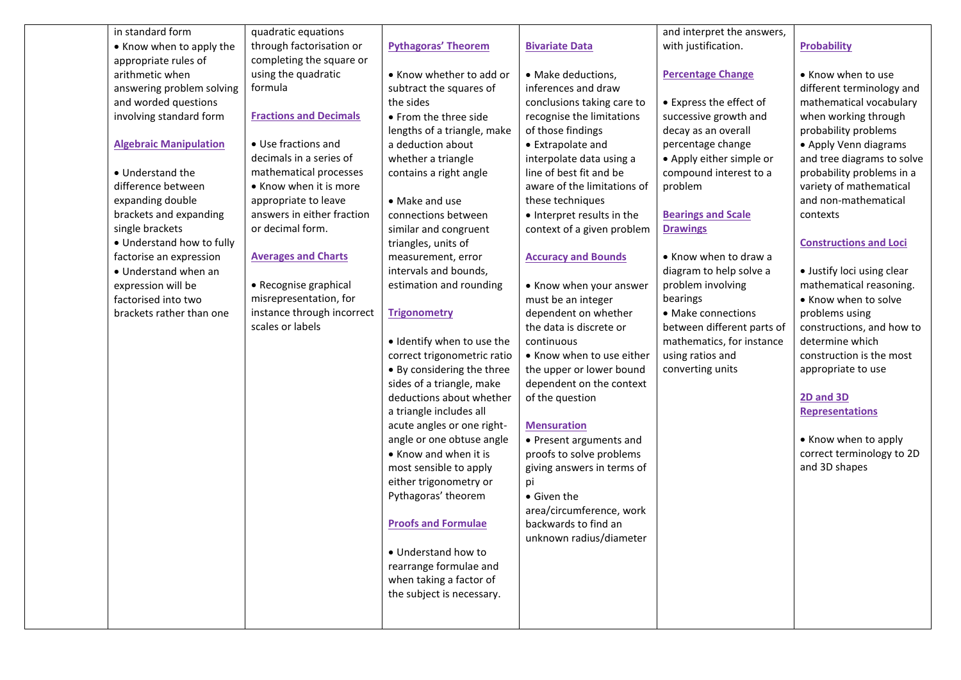| in standard form              | quadratic equations           |                             |                             | and interpret the answers, |                               |
|-------------------------------|-------------------------------|-----------------------------|-----------------------------|----------------------------|-------------------------------|
| • Know when to apply the      | through factorisation or      | <b>Pythagoras' Theorem</b>  | <b>Bivariate Data</b>       | with justification.        | Probability                   |
| appropriate rules of          | completing the square or      |                             |                             |                            |                               |
| arithmetic when               | using the quadratic           | • Know whether to add or    | · Make deductions,          | <b>Percentage Change</b>   | • Know when to use            |
| answering problem solving     | formula                       | subtract the squares of     | inferences and draw         |                            | different terminology and     |
| and worded questions          |                               | the sides                   | conclusions taking care to  | • Express the effect of    | mathematical vocabulary       |
| involving standard form       | <b>Fractions and Decimals</b> | • From the three side       | recognise the limitations   | successive growth and      | when working through          |
|                               |                               | lengths of a triangle, make | of those findings           | decay as an overall        | probability problems          |
| <b>Algebraic Manipulation</b> | • Use fractions and           | a deduction about           | • Extrapolate and           | percentage change          | • Apply Venn diagrams         |
|                               | decimals in a series of       | whether a triangle          | interpolate data using a    | • Apply either simple or   | and tree diagrams to solve    |
| • Understand the              | mathematical processes        | contains a right angle      | line of best fit and be     | compound interest to a     | probability problems in a     |
| difference between            | • Know when it is more        |                             | aware of the limitations of | problem                    | variety of mathematical       |
| expanding double              | appropriate to leave          | • Make and use              | these techniques            |                            | and non-mathematical          |
| brackets and expanding        | answers in either fraction    | connections between         | • Interpret results in the  | <b>Bearings and Scale</b>  | contexts                      |
| single brackets               | or decimal form.              | similar and congruent       | context of a given problem  | <b>Drawings</b>            |                               |
| • Understand how to fully     |                               | triangles, units of         |                             |                            | <b>Constructions and Loci</b> |
| factorise an expression       | <b>Averages and Charts</b>    | measurement, error          | <b>Accuracy and Bounds</b>  | • Know when to draw a      |                               |
| • Understand when an          |                               | intervals and bounds,       |                             | diagram to help solve a    | • Justify loci using clear    |
| expression will be            | • Recognise graphical         | estimation and rounding     | • Know when your answer     | problem involving          | mathematical reasoning.       |
| factorised into two           | misrepresentation, for        |                             | must be an integer          | bearings                   | • Know when to solve          |
| brackets rather than one      | instance through incorrect    | <b>Trigonometry</b>         | dependent on whether        | • Make connections         | problems using                |
|                               | scales or labels              |                             | the data is discrete or     | between different parts of | constructions, and how to     |
|                               |                               | · Identify when to use the  | continuous                  | mathematics, for instance  | determine which               |
|                               |                               | correct trigonometric ratio | • Know when to use either   | using ratios and           | construction is the most      |
|                               |                               | • By considering the three  | the upper or lower bound    | converting units           | appropriate to use            |
|                               |                               | sides of a triangle, make   | dependent on the context    |                            |                               |
|                               |                               | deductions about whether    | of the question             |                            | 2D and 3D                     |
|                               |                               | a triangle includes all     |                             |                            | <b>Representations</b>        |
|                               |                               | acute angles or one right-  | <b>Mensuration</b>          |                            |                               |
|                               |                               | angle or one obtuse angle   | • Present arguments and     |                            | • Know when to apply          |
|                               |                               | • Know and when it is       | proofs to solve problems    |                            | correct terminology to 2D     |
|                               |                               | most sensible to apply      | giving answers in terms of  |                            | and 3D shapes                 |
|                               |                               | either trigonometry or      | рi                          |                            |                               |
|                               |                               | Pythagoras' theorem         | • Given the                 |                            |                               |
|                               |                               |                             | area/circumference, work    |                            |                               |
|                               |                               | <b>Proofs and Formulae</b>  | backwards to find an        |                            |                               |
|                               |                               |                             | unknown radius/diameter     |                            |                               |
|                               |                               | • Understand how to         |                             |                            |                               |
|                               |                               | rearrange formulae and      |                             |                            |                               |
|                               |                               | when taking a factor of     |                             |                            |                               |
|                               |                               | the subject is necessary.   |                             |                            |                               |
|                               |                               |                             |                             |                            |                               |
|                               |                               |                             |                             |                            |                               |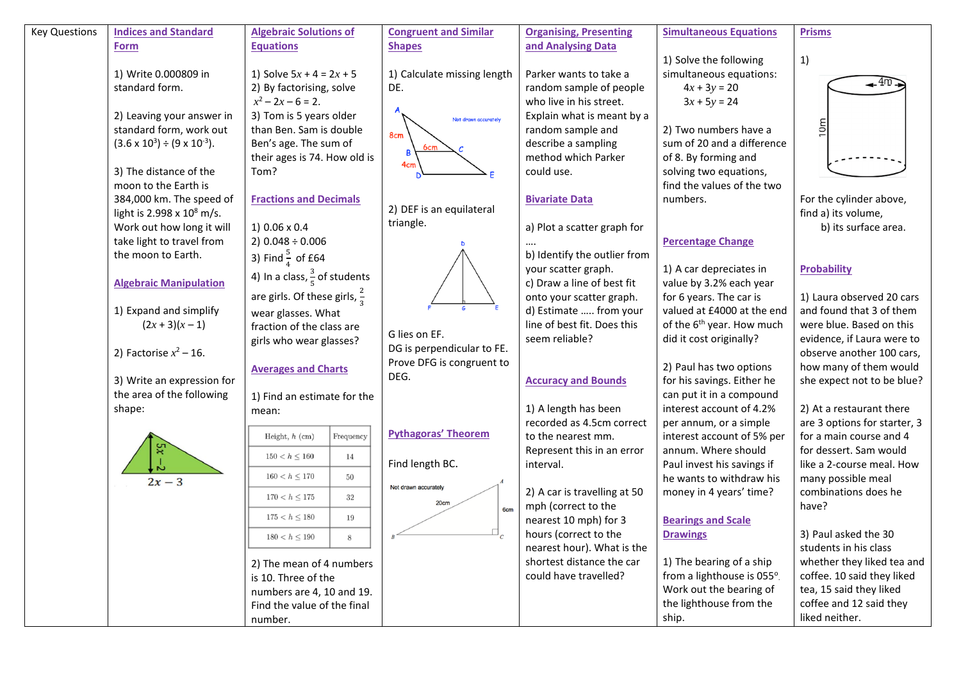| and Analysing Data<br><b>Equations</b><br><b>Shapes</b><br>Form<br>1)<br>1) Solve the following<br>simultaneous equations:<br>1) Solve $5x + 4 = 2x + 5$<br>1) Write 0.000809 in<br>1) Calculate missing length<br>Parker wants to take a<br>⊸-4ന<br>standard form.<br>2) By factorising, solve<br>random sample of people<br>$4x + 3y = 20$<br>DE.<br>$x^2 - 2x - 6 = 2$ .<br>who live in his street.<br>$3x + 5y = 24$<br>3) Tom is 5 years older<br>Explain what is meant by a<br>2) Leaving your answer in<br>Not drawn accurately<br>10 <sub>m</sub><br>standard form, work out<br>than Ben. Sam is double<br>random sample and<br>2) Two numbers have a<br>8cm<br>$(3.6 \times 10^3) \div (9 \times 10^{-3}).$<br>Ben's age. The sum of<br>describe a sampling<br>sum of 20 and a difference<br>their ages is 74. How old is<br>method which Parker<br>of 8. By forming and<br>4cm<br>3) The distance of the<br>Tom?<br>solving two equations,<br>could use.<br>moon to the Earth is<br>find the values of the two<br>384,000 km. The speed of<br><b>Fractions and Decimals</b><br>numbers.<br>For the cylinder above,<br><b>Bivariate Data</b><br>2) DEF is an equilateral<br>light is 2.998 x 10 <sup>8</sup> m/s.<br>find a) its volume,<br>triangle.<br>1) 0.06 x 0.4<br>Work out how long it will<br>a) Plot a scatter graph for<br>b) its surface area.<br>$2) 0.048 \div 0.006$<br>take light to travel from<br><b>Percentage Change</b><br>3) Find $\frac{5}{4}$ of £64<br>b) Identify the outlier from<br>the moon to Earth.<br>1) A car depreciates in<br><b>Probability</b><br>your scatter graph.<br>4) In a class, $\frac{3}{5}$ of students<br>c) Draw a line of best fit<br>value by 3.2% each year<br><b>Algebraic Manipulation</b><br>are girls. Of these girls, $\frac{2}{3}$<br>onto your scatter graph.<br>for 6 years. The car is<br>1) Laura observed 20 cars<br>1) Expand and simplify<br>d) Estimate  from your<br>valued at £4000 at the end<br>and found that 3 of them<br>wear glasses. What<br>line of best fit. Does this<br>of the 6 <sup>th</sup> year. How much<br>$(2x+3)(x-1)$<br>were blue. Based on this<br>fraction of the class are<br>G lies on EF.<br>seem reliable?<br>did it cost originally?<br>evidence, if Laura were to<br>girls who wear glasses?<br>DG is perpendicular to FE.<br>2) Factorise $x^2$ – 16.<br>observe another 100 cars,<br>Prove DFG is congruent to<br>2) Paul has two options<br>how many of them would<br><b>Averages and Charts</b><br>DEG.<br>3) Write an expression for<br>for his savings. Either he<br>she expect not to be blue?<br><b>Accuracy and Bounds</b><br>the area of the following<br>can put it in a compound<br>1) Find an estimate for the<br>1) A length has been<br>interest account of 4.2%<br>2) At a restaurant there<br>shape:<br>mean:<br>recorded as 4.5cm correct<br>are 3 options for starter, 3<br>per annum, or a simple<br><b>Pythagoras' Theorem</b><br>for a main course and 4<br>Frequency<br>to the nearest mm.<br>Height, $h$ (cm)<br>interest account of 5% per<br>annum. Where should<br>for dessert. Sam would<br>Represent this in an error<br>$150 < h \leq 160$<br>14<br>Find length BC.<br>like a 2-course meal. How<br>interval.<br>Paul invest his savings if<br>$160 < h \le 170$<br>50<br>he wants to withdraw his<br>many possible meal<br>$2x-3$<br>Not drawn accurately<br>combinations does he<br>2) A car is travelling at 50<br>money in 4 years' time?<br>$170 < h \le 175$<br>32<br>20cm<br>mph (correct to the<br>have?<br>6cm<br>$175 < h \le 180$<br>19<br>nearest 10 mph) for 3<br><b>Bearings and Scale</b><br>hours (correct to the<br><b>Drawings</b><br>3) Paul asked the 30<br>$180 < h \le 190$<br>8<br>students in his class<br>nearest hour). What is the<br>shortest distance the car<br>1) The bearing of a ship<br>whether they liked tea and<br>2) The mean of 4 numbers<br>could have travelled?<br>from a lighthouse is 055°.<br>coffee. 10 said they liked<br>is 10. Three of the<br>Work out the bearing of<br>tea, 15 said they liked<br>numbers are 4, 10 and 19.<br>the lighthouse from the<br>coffee and 12 said they<br>Find the value of the final | <b>Key Questions</b> | <b>Indices and Standard</b> | <b>Algebraic Solutions of</b> | <b>Congruent and Similar</b> | <b>Organising, Presenting</b> | <b>Simultaneous Equations</b> | <b>Prisms</b>  |
|--------------------------------------------------------------------------------------------------------------------------------------------------------------------------------------------------------------------------------------------------------------------------------------------------------------------------------------------------------------------------------------------------------------------------------------------------------------------------------------------------------------------------------------------------------------------------------------------------------------------------------------------------------------------------------------------------------------------------------------------------------------------------------------------------------------------------------------------------------------------------------------------------------------------------------------------------------------------------------------------------------------------------------------------------------------------------------------------------------------------------------------------------------------------------------------------------------------------------------------------------------------------------------------------------------------------------------------------------------------------------------------------------------------------------------------------------------------------------------------------------------------------------------------------------------------------------------------------------------------------------------------------------------------------------------------------------------------------------------------------------------------------------------------------------------------------------------------------------------------------------------------------------------------------------------------------------------------------------------------------------------------------------------------------------------------------------------------------------------------------------------------------------------------------------------------------------------------------------------------------------------------------------------------------------------------------------------------------------------------------------------------------------------------------------------------------------------------------------------------------------------------------------------------------------------------------------------------------------------------------------------------------------------------------------------------------------------------------------------------------------------------------------------------------------------------------------------------------------------------------------------------------------------------------------------------------------------------------------------------------------------------------------------------------------------------------------------------------------------------------------------------------------------------------------------------------------------------------------------------------------------------------------------------------------------------------------------------------------------------------------------------------------------------------------------------------------------------------------------------------------------------------------------------------------------------------------------------------------------------------------------------------------------------------------------------------------------------------------------------------------------------------------------------------------------------------------------------------------------------------------------------------------------------------------------------------------------------------------------------------------------------------------------------------------------------------------------------------------------------------------------------------------------------------------------------------------------------|----------------------|-----------------------------|-------------------------------|------------------------------|-------------------------------|-------------------------------|----------------|
|                                                                                                                                                                                                                                                                                                                                                                                                                                                                                                                                                                                                                                                                                                                                                                                                                                                                                                                                                                                                                                                                                                                                                                                                                                                                                                                                                                                                                                                                                                                                                                                                                                                                                                                                                                                                                                                                                                                                                                                                                                                                                                                                                                                                                                                                                                                                                                                                                                                                                                                                                                                                                                                                                                                                                                                                                                                                                                                                                                                                                                                                                                                                                                                                                                                                                                                                                                                                                                                                                                                                                                                                                                                                                                                                                                                                                                                                                                                                                                                                                                                                                                                                                                                                              |                      |                             |                               |                              |                               |                               |                |
|                                                                                                                                                                                                                                                                                                                                                                                                                                                                                                                                                                                                                                                                                                                                                                                                                                                                                                                                                                                                                                                                                                                                                                                                                                                                                                                                                                                                                                                                                                                                                                                                                                                                                                                                                                                                                                                                                                                                                                                                                                                                                                                                                                                                                                                                                                                                                                                                                                                                                                                                                                                                                                                                                                                                                                                                                                                                                                                                                                                                                                                                                                                                                                                                                                                                                                                                                                                                                                                                                                                                                                                                                                                                                                                                                                                                                                                                                                                                                                                                                                                                                                                                                                                                              |                      |                             |                               |                              |                               |                               |                |
|                                                                                                                                                                                                                                                                                                                                                                                                                                                                                                                                                                                                                                                                                                                                                                                                                                                                                                                                                                                                                                                                                                                                                                                                                                                                                                                                                                                                                                                                                                                                                                                                                                                                                                                                                                                                                                                                                                                                                                                                                                                                                                                                                                                                                                                                                                                                                                                                                                                                                                                                                                                                                                                                                                                                                                                                                                                                                                                                                                                                                                                                                                                                                                                                                                                                                                                                                                                                                                                                                                                                                                                                                                                                                                                                                                                                                                                                                                                                                                                                                                                                                                                                                                                                              |                      |                             |                               |                              |                               |                               |                |
|                                                                                                                                                                                                                                                                                                                                                                                                                                                                                                                                                                                                                                                                                                                                                                                                                                                                                                                                                                                                                                                                                                                                                                                                                                                                                                                                                                                                                                                                                                                                                                                                                                                                                                                                                                                                                                                                                                                                                                                                                                                                                                                                                                                                                                                                                                                                                                                                                                                                                                                                                                                                                                                                                                                                                                                                                                                                                                                                                                                                                                                                                                                                                                                                                                                                                                                                                                                                                                                                                                                                                                                                                                                                                                                                                                                                                                                                                                                                                                                                                                                                                                                                                                                                              |                      |                             |                               |                              |                               |                               |                |
|                                                                                                                                                                                                                                                                                                                                                                                                                                                                                                                                                                                                                                                                                                                                                                                                                                                                                                                                                                                                                                                                                                                                                                                                                                                                                                                                                                                                                                                                                                                                                                                                                                                                                                                                                                                                                                                                                                                                                                                                                                                                                                                                                                                                                                                                                                                                                                                                                                                                                                                                                                                                                                                                                                                                                                                                                                                                                                                                                                                                                                                                                                                                                                                                                                                                                                                                                                                                                                                                                                                                                                                                                                                                                                                                                                                                                                                                                                                                                                                                                                                                                                                                                                                                              |                      |                             |                               |                              |                               |                               |                |
|                                                                                                                                                                                                                                                                                                                                                                                                                                                                                                                                                                                                                                                                                                                                                                                                                                                                                                                                                                                                                                                                                                                                                                                                                                                                                                                                                                                                                                                                                                                                                                                                                                                                                                                                                                                                                                                                                                                                                                                                                                                                                                                                                                                                                                                                                                                                                                                                                                                                                                                                                                                                                                                                                                                                                                                                                                                                                                                                                                                                                                                                                                                                                                                                                                                                                                                                                                                                                                                                                                                                                                                                                                                                                                                                                                                                                                                                                                                                                                                                                                                                                                                                                                                                              |                      |                             |                               |                              |                               |                               |                |
|                                                                                                                                                                                                                                                                                                                                                                                                                                                                                                                                                                                                                                                                                                                                                                                                                                                                                                                                                                                                                                                                                                                                                                                                                                                                                                                                                                                                                                                                                                                                                                                                                                                                                                                                                                                                                                                                                                                                                                                                                                                                                                                                                                                                                                                                                                                                                                                                                                                                                                                                                                                                                                                                                                                                                                                                                                                                                                                                                                                                                                                                                                                                                                                                                                                                                                                                                                                                                                                                                                                                                                                                                                                                                                                                                                                                                                                                                                                                                                                                                                                                                                                                                                                                              |                      |                             |                               |                              |                               |                               |                |
|                                                                                                                                                                                                                                                                                                                                                                                                                                                                                                                                                                                                                                                                                                                                                                                                                                                                                                                                                                                                                                                                                                                                                                                                                                                                                                                                                                                                                                                                                                                                                                                                                                                                                                                                                                                                                                                                                                                                                                                                                                                                                                                                                                                                                                                                                                                                                                                                                                                                                                                                                                                                                                                                                                                                                                                                                                                                                                                                                                                                                                                                                                                                                                                                                                                                                                                                                                                                                                                                                                                                                                                                                                                                                                                                                                                                                                                                                                                                                                                                                                                                                                                                                                                                              |                      |                             |                               |                              |                               |                               |                |
|                                                                                                                                                                                                                                                                                                                                                                                                                                                                                                                                                                                                                                                                                                                                                                                                                                                                                                                                                                                                                                                                                                                                                                                                                                                                                                                                                                                                                                                                                                                                                                                                                                                                                                                                                                                                                                                                                                                                                                                                                                                                                                                                                                                                                                                                                                                                                                                                                                                                                                                                                                                                                                                                                                                                                                                                                                                                                                                                                                                                                                                                                                                                                                                                                                                                                                                                                                                                                                                                                                                                                                                                                                                                                                                                                                                                                                                                                                                                                                                                                                                                                                                                                                                                              |                      |                             |                               |                              |                               |                               |                |
|                                                                                                                                                                                                                                                                                                                                                                                                                                                                                                                                                                                                                                                                                                                                                                                                                                                                                                                                                                                                                                                                                                                                                                                                                                                                                                                                                                                                                                                                                                                                                                                                                                                                                                                                                                                                                                                                                                                                                                                                                                                                                                                                                                                                                                                                                                                                                                                                                                                                                                                                                                                                                                                                                                                                                                                                                                                                                                                                                                                                                                                                                                                                                                                                                                                                                                                                                                                                                                                                                                                                                                                                                                                                                                                                                                                                                                                                                                                                                                                                                                                                                                                                                                                                              |                      |                             |                               |                              |                               |                               |                |
|                                                                                                                                                                                                                                                                                                                                                                                                                                                                                                                                                                                                                                                                                                                                                                                                                                                                                                                                                                                                                                                                                                                                                                                                                                                                                                                                                                                                                                                                                                                                                                                                                                                                                                                                                                                                                                                                                                                                                                                                                                                                                                                                                                                                                                                                                                                                                                                                                                                                                                                                                                                                                                                                                                                                                                                                                                                                                                                                                                                                                                                                                                                                                                                                                                                                                                                                                                                                                                                                                                                                                                                                                                                                                                                                                                                                                                                                                                                                                                                                                                                                                                                                                                                                              |                      |                             |                               |                              |                               |                               |                |
|                                                                                                                                                                                                                                                                                                                                                                                                                                                                                                                                                                                                                                                                                                                                                                                                                                                                                                                                                                                                                                                                                                                                                                                                                                                                                                                                                                                                                                                                                                                                                                                                                                                                                                                                                                                                                                                                                                                                                                                                                                                                                                                                                                                                                                                                                                                                                                                                                                                                                                                                                                                                                                                                                                                                                                                                                                                                                                                                                                                                                                                                                                                                                                                                                                                                                                                                                                                                                                                                                                                                                                                                                                                                                                                                                                                                                                                                                                                                                                                                                                                                                                                                                                                                              |                      |                             |                               |                              |                               |                               |                |
|                                                                                                                                                                                                                                                                                                                                                                                                                                                                                                                                                                                                                                                                                                                                                                                                                                                                                                                                                                                                                                                                                                                                                                                                                                                                                                                                                                                                                                                                                                                                                                                                                                                                                                                                                                                                                                                                                                                                                                                                                                                                                                                                                                                                                                                                                                                                                                                                                                                                                                                                                                                                                                                                                                                                                                                                                                                                                                                                                                                                                                                                                                                                                                                                                                                                                                                                                                                                                                                                                                                                                                                                                                                                                                                                                                                                                                                                                                                                                                                                                                                                                                                                                                                                              |                      |                             |                               |                              |                               |                               |                |
|                                                                                                                                                                                                                                                                                                                                                                                                                                                                                                                                                                                                                                                                                                                                                                                                                                                                                                                                                                                                                                                                                                                                                                                                                                                                                                                                                                                                                                                                                                                                                                                                                                                                                                                                                                                                                                                                                                                                                                                                                                                                                                                                                                                                                                                                                                                                                                                                                                                                                                                                                                                                                                                                                                                                                                                                                                                                                                                                                                                                                                                                                                                                                                                                                                                                                                                                                                                                                                                                                                                                                                                                                                                                                                                                                                                                                                                                                                                                                                                                                                                                                                                                                                                                              |                      |                             |                               |                              |                               |                               |                |
|                                                                                                                                                                                                                                                                                                                                                                                                                                                                                                                                                                                                                                                                                                                                                                                                                                                                                                                                                                                                                                                                                                                                                                                                                                                                                                                                                                                                                                                                                                                                                                                                                                                                                                                                                                                                                                                                                                                                                                                                                                                                                                                                                                                                                                                                                                                                                                                                                                                                                                                                                                                                                                                                                                                                                                                                                                                                                                                                                                                                                                                                                                                                                                                                                                                                                                                                                                                                                                                                                                                                                                                                                                                                                                                                                                                                                                                                                                                                                                                                                                                                                                                                                                                                              |                      |                             |                               |                              |                               |                               |                |
|                                                                                                                                                                                                                                                                                                                                                                                                                                                                                                                                                                                                                                                                                                                                                                                                                                                                                                                                                                                                                                                                                                                                                                                                                                                                                                                                                                                                                                                                                                                                                                                                                                                                                                                                                                                                                                                                                                                                                                                                                                                                                                                                                                                                                                                                                                                                                                                                                                                                                                                                                                                                                                                                                                                                                                                                                                                                                                                                                                                                                                                                                                                                                                                                                                                                                                                                                                                                                                                                                                                                                                                                                                                                                                                                                                                                                                                                                                                                                                                                                                                                                                                                                                                                              |                      |                             |                               |                              |                               |                               |                |
|                                                                                                                                                                                                                                                                                                                                                                                                                                                                                                                                                                                                                                                                                                                                                                                                                                                                                                                                                                                                                                                                                                                                                                                                                                                                                                                                                                                                                                                                                                                                                                                                                                                                                                                                                                                                                                                                                                                                                                                                                                                                                                                                                                                                                                                                                                                                                                                                                                                                                                                                                                                                                                                                                                                                                                                                                                                                                                                                                                                                                                                                                                                                                                                                                                                                                                                                                                                                                                                                                                                                                                                                                                                                                                                                                                                                                                                                                                                                                                                                                                                                                                                                                                                                              |                      |                             |                               |                              |                               |                               |                |
|                                                                                                                                                                                                                                                                                                                                                                                                                                                                                                                                                                                                                                                                                                                                                                                                                                                                                                                                                                                                                                                                                                                                                                                                                                                                                                                                                                                                                                                                                                                                                                                                                                                                                                                                                                                                                                                                                                                                                                                                                                                                                                                                                                                                                                                                                                                                                                                                                                                                                                                                                                                                                                                                                                                                                                                                                                                                                                                                                                                                                                                                                                                                                                                                                                                                                                                                                                                                                                                                                                                                                                                                                                                                                                                                                                                                                                                                                                                                                                                                                                                                                                                                                                                                              |                      |                             |                               |                              |                               |                               |                |
|                                                                                                                                                                                                                                                                                                                                                                                                                                                                                                                                                                                                                                                                                                                                                                                                                                                                                                                                                                                                                                                                                                                                                                                                                                                                                                                                                                                                                                                                                                                                                                                                                                                                                                                                                                                                                                                                                                                                                                                                                                                                                                                                                                                                                                                                                                                                                                                                                                                                                                                                                                                                                                                                                                                                                                                                                                                                                                                                                                                                                                                                                                                                                                                                                                                                                                                                                                                                                                                                                                                                                                                                                                                                                                                                                                                                                                                                                                                                                                                                                                                                                                                                                                                                              |                      |                             |                               |                              |                               |                               |                |
|                                                                                                                                                                                                                                                                                                                                                                                                                                                                                                                                                                                                                                                                                                                                                                                                                                                                                                                                                                                                                                                                                                                                                                                                                                                                                                                                                                                                                                                                                                                                                                                                                                                                                                                                                                                                                                                                                                                                                                                                                                                                                                                                                                                                                                                                                                                                                                                                                                                                                                                                                                                                                                                                                                                                                                                                                                                                                                                                                                                                                                                                                                                                                                                                                                                                                                                                                                                                                                                                                                                                                                                                                                                                                                                                                                                                                                                                                                                                                                                                                                                                                                                                                                                                              |                      |                             |                               |                              |                               |                               |                |
|                                                                                                                                                                                                                                                                                                                                                                                                                                                                                                                                                                                                                                                                                                                                                                                                                                                                                                                                                                                                                                                                                                                                                                                                                                                                                                                                                                                                                                                                                                                                                                                                                                                                                                                                                                                                                                                                                                                                                                                                                                                                                                                                                                                                                                                                                                                                                                                                                                                                                                                                                                                                                                                                                                                                                                                                                                                                                                                                                                                                                                                                                                                                                                                                                                                                                                                                                                                                                                                                                                                                                                                                                                                                                                                                                                                                                                                                                                                                                                                                                                                                                                                                                                                                              |                      |                             |                               |                              |                               |                               |                |
|                                                                                                                                                                                                                                                                                                                                                                                                                                                                                                                                                                                                                                                                                                                                                                                                                                                                                                                                                                                                                                                                                                                                                                                                                                                                                                                                                                                                                                                                                                                                                                                                                                                                                                                                                                                                                                                                                                                                                                                                                                                                                                                                                                                                                                                                                                                                                                                                                                                                                                                                                                                                                                                                                                                                                                                                                                                                                                                                                                                                                                                                                                                                                                                                                                                                                                                                                                                                                                                                                                                                                                                                                                                                                                                                                                                                                                                                                                                                                                                                                                                                                                                                                                                                              |                      |                             |                               |                              |                               |                               |                |
|                                                                                                                                                                                                                                                                                                                                                                                                                                                                                                                                                                                                                                                                                                                                                                                                                                                                                                                                                                                                                                                                                                                                                                                                                                                                                                                                                                                                                                                                                                                                                                                                                                                                                                                                                                                                                                                                                                                                                                                                                                                                                                                                                                                                                                                                                                                                                                                                                                                                                                                                                                                                                                                                                                                                                                                                                                                                                                                                                                                                                                                                                                                                                                                                                                                                                                                                                                                                                                                                                                                                                                                                                                                                                                                                                                                                                                                                                                                                                                                                                                                                                                                                                                                                              |                      |                             |                               |                              |                               |                               |                |
|                                                                                                                                                                                                                                                                                                                                                                                                                                                                                                                                                                                                                                                                                                                                                                                                                                                                                                                                                                                                                                                                                                                                                                                                                                                                                                                                                                                                                                                                                                                                                                                                                                                                                                                                                                                                                                                                                                                                                                                                                                                                                                                                                                                                                                                                                                                                                                                                                                                                                                                                                                                                                                                                                                                                                                                                                                                                                                                                                                                                                                                                                                                                                                                                                                                                                                                                                                                                                                                                                                                                                                                                                                                                                                                                                                                                                                                                                                                                                                                                                                                                                                                                                                                                              |                      |                             |                               |                              |                               |                               |                |
|                                                                                                                                                                                                                                                                                                                                                                                                                                                                                                                                                                                                                                                                                                                                                                                                                                                                                                                                                                                                                                                                                                                                                                                                                                                                                                                                                                                                                                                                                                                                                                                                                                                                                                                                                                                                                                                                                                                                                                                                                                                                                                                                                                                                                                                                                                                                                                                                                                                                                                                                                                                                                                                                                                                                                                                                                                                                                                                                                                                                                                                                                                                                                                                                                                                                                                                                                                                                                                                                                                                                                                                                                                                                                                                                                                                                                                                                                                                                                                                                                                                                                                                                                                                                              |                      |                             |                               |                              |                               |                               |                |
|                                                                                                                                                                                                                                                                                                                                                                                                                                                                                                                                                                                                                                                                                                                                                                                                                                                                                                                                                                                                                                                                                                                                                                                                                                                                                                                                                                                                                                                                                                                                                                                                                                                                                                                                                                                                                                                                                                                                                                                                                                                                                                                                                                                                                                                                                                                                                                                                                                                                                                                                                                                                                                                                                                                                                                                                                                                                                                                                                                                                                                                                                                                                                                                                                                                                                                                                                                                                                                                                                                                                                                                                                                                                                                                                                                                                                                                                                                                                                                                                                                                                                                                                                                                                              |                      |                             |                               |                              |                               |                               |                |
|                                                                                                                                                                                                                                                                                                                                                                                                                                                                                                                                                                                                                                                                                                                                                                                                                                                                                                                                                                                                                                                                                                                                                                                                                                                                                                                                                                                                                                                                                                                                                                                                                                                                                                                                                                                                                                                                                                                                                                                                                                                                                                                                                                                                                                                                                                                                                                                                                                                                                                                                                                                                                                                                                                                                                                                                                                                                                                                                                                                                                                                                                                                                                                                                                                                                                                                                                                                                                                                                                                                                                                                                                                                                                                                                                                                                                                                                                                                                                                                                                                                                                                                                                                                                              |                      |                             |                               |                              |                               |                               |                |
|                                                                                                                                                                                                                                                                                                                                                                                                                                                                                                                                                                                                                                                                                                                                                                                                                                                                                                                                                                                                                                                                                                                                                                                                                                                                                                                                                                                                                                                                                                                                                                                                                                                                                                                                                                                                                                                                                                                                                                                                                                                                                                                                                                                                                                                                                                                                                                                                                                                                                                                                                                                                                                                                                                                                                                                                                                                                                                                                                                                                                                                                                                                                                                                                                                                                                                                                                                                                                                                                                                                                                                                                                                                                                                                                                                                                                                                                                                                                                                                                                                                                                                                                                                                                              |                      |                             |                               |                              |                               |                               |                |
|                                                                                                                                                                                                                                                                                                                                                                                                                                                                                                                                                                                                                                                                                                                                                                                                                                                                                                                                                                                                                                                                                                                                                                                                                                                                                                                                                                                                                                                                                                                                                                                                                                                                                                                                                                                                                                                                                                                                                                                                                                                                                                                                                                                                                                                                                                                                                                                                                                                                                                                                                                                                                                                                                                                                                                                                                                                                                                                                                                                                                                                                                                                                                                                                                                                                                                                                                                                                                                                                                                                                                                                                                                                                                                                                                                                                                                                                                                                                                                                                                                                                                                                                                                                                              |                      |                             |                               |                              |                               |                               |                |
|                                                                                                                                                                                                                                                                                                                                                                                                                                                                                                                                                                                                                                                                                                                                                                                                                                                                                                                                                                                                                                                                                                                                                                                                                                                                                                                                                                                                                                                                                                                                                                                                                                                                                                                                                                                                                                                                                                                                                                                                                                                                                                                                                                                                                                                                                                                                                                                                                                                                                                                                                                                                                                                                                                                                                                                                                                                                                                                                                                                                                                                                                                                                                                                                                                                                                                                                                                                                                                                                                                                                                                                                                                                                                                                                                                                                                                                                                                                                                                                                                                                                                                                                                                                                              |                      |                             |                               |                              |                               |                               |                |
|                                                                                                                                                                                                                                                                                                                                                                                                                                                                                                                                                                                                                                                                                                                                                                                                                                                                                                                                                                                                                                                                                                                                                                                                                                                                                                                                                                                                                                                                                                                                                                                                                                                                                                                                                                                                                                                                                                                                                                                                                                                                                                                                                                                                                                                                                                                                                                                                                                                                                                                                                                                                                                                                                                                                                                                                                                                                                                                                                                                                                                                                                                                                                                                                                                                                                                                                                                                                                                                                                                                                                                                                                                                                                                                                                                                                                                                                                                                                                                                                                                                                                                                                                                                                              |                      |                             |                               |                              |                               |                               |                |
|                                                                                                                                                                                                                                                                                                                                                                                                                                                                                                                                                                                                                                                                                                                                                                                                                                                                                                                                                                                                                                                                                                                                                                                                                                                                                                                                                                                                                                                                                                                                                                                                                                                                                                                                                                                                                                                                                                                                                                                                                                                                                                                                                                                                                                                                                                                                                                                                                                                                                                                                                                                                                                                                                                                                                                                                                                                                                                                                                                                                                                                                                                                                                                                                                                                                                                                                                                                                                                                                                                                                                                                                                                                                                                                                                                                                                                                                                                                                                                                                                                                                                                                                                                                                              |                      |                             |                               |                              |                               |                               |                |
|                                                                                                                                                                                                                                                                                                                                                                                                                                                                                                                                                                                                                                                                                                                                                                                                                                                                                                                                                                                                                                                                                                                                                                                                                                                                                                                                                                                                                                                                                                                                                                                                                                                                                                                                                                                                                                                                                                                                                                                                                                                                                                                                                                                                                                                                                                                                                                                                                                                                                                                                                                                                                                                                                                                                                                                                                                                                                                                                                                                                                                                                                                                                                                                                                                                                                                                                                                                                                                                                                                                                                                                                                                                                                                                                                                                                                                                                                                                                                                                                                                                                                                                                                                                                              |                      |                             |                               |                              |                               |                               |                |
|                                                                                                                                                                                                                                                                                                                                                                                                                                                                                                                                                                                                                                                                                                                                                                                                                                                                                                                                                                                                                                                                                                                                                                                                                                                                                                                                                                                                                                                                                                                                                                                                                                                                                                                                                                                                                                                                                                                                                                                                                                                                                                                                                                                                                                                                                                                                                                                                                                                                                                                                                                                                                                                                                                                                                                                                                                                                                                                                                                                                                                                                                                                                                                                                                                                                                                                                                                                                                                                                                                                                                                                                                                                                                                                                                                                                                                                                                                                                                                                                                                                                                                                                                                                                              |                      |                             |                               |                              |                               |                               |                |
|                                                                                                                                                                                                                                                                                                                                                                                                                                                                                                                                                                                                                                                                                                                                                                                                                                                                                                                                                                                                                                                                                                                                                                                                                                                                                                                                                                                                                                                                                                                                                                                                                                                                                                                                                                                                                                                                                                                                                                                                                                                                                                                                                                                                                                                                                                                                                                                                                                                                                                                                                                                                                                                                                                                                                                                                                                                                                                                                                                                                                                                                                                                                                                                                                                                                                                                                                                                                                                                                                                                                                                                                                                                                                                                                                                                                                                                                                                                                                                                                                                                                                                                                                                                                              |                      |                             |                               |                              |                               |                               |                |
|                                                                                                                                                                                                                                                                                                                                                                                                                                                                                                                                                                                                                                                                                                                                                                                                                                                                                                                                                                                                                                                                                                                                                                                                                                                                                                                                                                                                                                                                                                                                                                                                                                                                                                                                                                                                                                                                                                                                                                                                                                                                                                                                                                                                                                                                                                                                                                                                                                                                                                                                                                                                                                                                                                                                                                                                                                                                                                                                                                                                                                                                                                                                                                                                                                                                                                                                                                                                                                                                                                                                                                                                                                                                                                                                                                                                                                                                                                                                                                                                                                                                                                                                                                                                              |                      |                             |                               |                              |                               |                               |                |
|                                                                                                                                                                                                                                                                                                                                                                                                                                                                                                                                                                                                                                                                                                                                                                                                                                                                                                                                                                                                                                                                                                                                                                                                                                                                                                                                                                                                                                                                                                                                                                                                                                                                                                                                                                                                                                                                                                                                                                                                                                                                                                                                                                                                                                                                                                                                                                                                                                                                                                                                                                                                                                                                                                                                                                                                                                                                                                                                                                                                                                                                                                                                                                                                                                                                                                                                                                                                                                                                                                                                                                                                                                                                                                                                                                                                                                                                                                                                                                                                                                                                                                                                                                                                              |                      |                             |                               |                              |                               |                               |                |
|                                                                                                                                                                                                                                                                                                                                                                                                                                                                                                                                                                                                                                                                                                                                                                                                                                                                                                                                                                                                                                                                                                                                                                                                                                                                                                                                                                                                                                                                                                                                                                                                                                                                                                                                                                                                                                                                                                                                                                                                                                                                                                                                                                                                                                                                                                                                                                                                                                                                                                                                                                                                                                                                                                                                                                                                                                                                                                                                                                                                                                                                                                                                                                                                                                                                                                                                                                                                                                                                                                                                                                                                                                                                                                                                                                                                                                                                                                                                                                                                                                                                                                                                                                                                              |                      |                             |                               |                              |                               |                               |                |
|                                                                                                                                                                                                                                                                                                                                                                                                                                                                                                                                                                                                                                                                                                                                                                                                                                                                                                                                                                                                                                                                                                                                                                                                                                                                                                                                                                                                                                                                                                                                                                                                                                                                                                                                                                                                                                                                                                                                                                                                                                                                                                                                                                                                                                                                                                                                                                                                                                                                                                                                                                                                                                                                                                                                                                                                                                                                                                                                                                                                                                                                                                                                                                                                                                                                                                                                                                                                                                                                                                                                                                                                                                                                                                                                                                                                                                                                                                                                                                                                                                                                                                                                                                                                              |                      |                             |                               |                              |                               |                               |                |
|                                                                                                                                                                                                                                                                                                                                                                                                                                                                                                                                                                                                                                                                                                                                                                                                                                                                                                                                                                                                                                                                                                                                                                                                                                                                                                                                                                                                                                                                                                                                                                                                                                                                                                                                                                                                                                                                                                                                                                                                                                                                                                                                                                                                                                                                                                                                                                                                                                                                                                                                                                                                                                                                                                                                                                                                                                                                                                                                                                                                                                                                                                                                                                                                                                                                                                                                                                                                                                                                                                                                                                                                                                                                                                                                                                                                                                                                                                                                                                                                                                                                                                                                                                                                              |                      |                             | number.                       |                              |                               | ship.                         | liked neither. |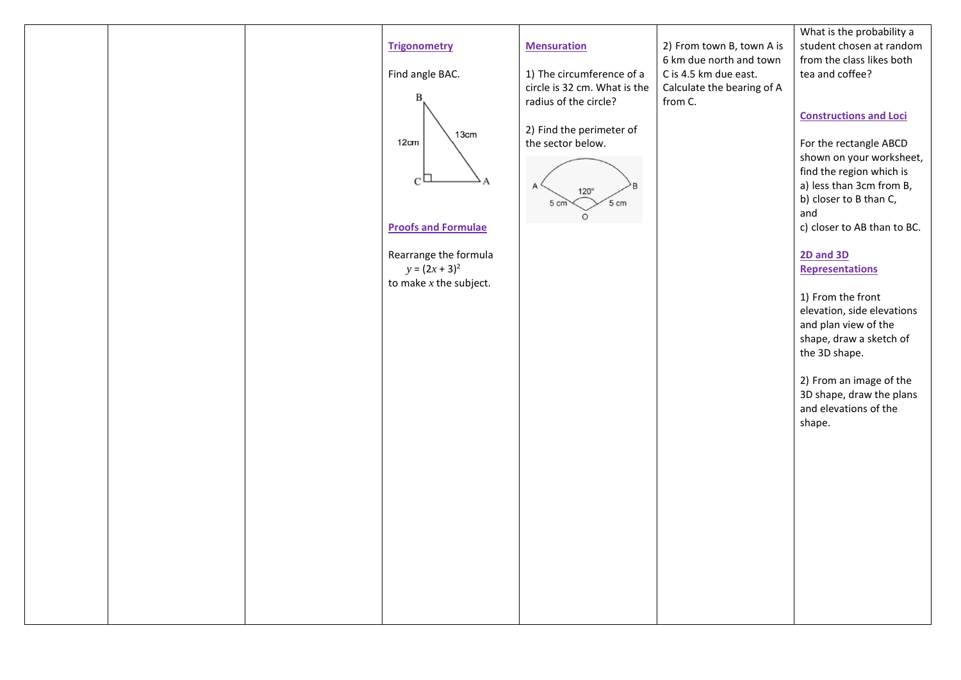|  |                            |                              |                                                  | What is the probability a                    |
|--|----------------------------|------------------------------|--------------------------------------------------|----------------------------------------------|
|  | <b>Trigonometry</b>        | <b>Mensuration</b>           | 2) From town B, town A is                        | student chosen at random                     |
|  | Find angle BAC.            | 1) The circumference of a    | 6 km due north and town<br>C is 4.5 km due east. | from the class likes both<br>tea and coffee? |
|  |                            | circle is 32 cm. What is the | Calculate the bearing of A                       |                                              |
|  | B                          | radius of the circle?        | from C.                                          |                                              |
|  |                            |                              |                                                  | <b>Constructions and Loci</b>                |
|  |                            | 2) Find the perimeter of     |                                                  |                                              |
|  | 13cm<br>12cm               | the sector below.            |                                                  | For the rectangle ABCD                       |
|  |                            |                              |                                                  | shown on your worksheet,                     |
|  |                            |                              |                                                  | find the region which is                     |
|  | C                          | $120^\circ$                  |                                                  | a) less than 3cm from B,                     |
|  |                            | $5 \text{ cm}$<br>5 cm       |                                                  | b) closer to B than C,                       |
|  |                            | $\circ$                      |                                                  | and                                          |
|  | <b>Proofs and Formulae</b> |                              |                                                  | c) closer to AB than to BC.                  |
|  |                            |                              |                                                  |                                              |
|  | Rearrange the formula      |                              |                                                  | <b>2D and 3D</b>                             |
|  | $y = (2x + 3)^2$           |                              |                                                  | <b>Representations</b>                       |
|  | to make $x$ the subject.   |                              |                                                  | 1) From the front                            |
|  |                            |                              |                                                  | elevation, side elevations                   |
|  |                            |                              |                                                  | and plan view of the                         |
|  |                            |                              |                                                  | shape, draw a sketch of                      |
|  |                            |                              |                                                  | the 3D shape.                                |
|  |                            |                              |                                                  |                                              |
|  |                            |                              |                                                  | 2) From an image of the                      |
|  |                            |                              |                                                  | 3D shape, draw the plans                     |
|  |                            |                              |                                                  | and elevations of the                        |
|  |                            |                              |                                                  | shape.                                       |
|  |                            |                              |                                                  |                                              |
|  |                            |                              |                                                  |                                              |
|  |                            |                              |                                                  |                                              |
|  |                            |                              |                                                  |                                              |
|  |                            |                              |                                                  |                                              |
|  |                            |                              |                                                  |                                              |
|  |                            |                              |                                                  |                                              |
|  |                            |                              |                                                  |                                              |
|  |                            |                              |                                                  |                                              |
|  |                            |                              |                                                  |                                              |
|  |                            |                              |                                                  |                                              |
|  |                            |                              |                                                  |                                              |
|  |                            |                              |                                                  |                                              |